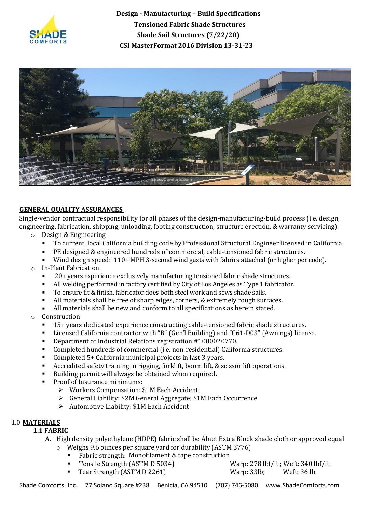



## **GENERAL QUALITY ASSURANCES**

Single-vendor contractual responsibility for all phases of the design-manufacturing-build process (i.e. design, engineering, fabrication, shipping, unloading, footing construction, structure erection, & warranty servicing).

- o Design & Engineering
	- To current, local California building code by Professional Structural Engineer licensed in California.
	- PE designed & engineered hundreds of commercial, cable-tensioned fabric structures.
	- Wind design speed: 110+ MPH 3-second wind gusts with fabrics attached (or higher per code).
- o In-Plant Fabrication
	- 20+ years experience exclusively manufacturing tensioned fabric shade structures.
	- All welding performed in factory certified by City of Los Angeles as Type 1 fabricator.
	- To ensure fit & finish, fabricator does both steel work and sews shade sails.
	- All materials shall be free of sharp edges, corners, & extremely rough surfaces.
	- All materials shall be new and conform to all specifications as herein stated.
- o Construction
	- 15+ years dedicated experience constructing cable-tensioned fabric shade structures.
	- Licensed California contractor with "B" (Gen'l Building) and "C61-D03" (Awnings) license.
	- Department of Industrial Relations registration #1000020770.
	- Completed hundreds of commercial (i.e. non-residential) California structures.
	- Completed 5+ California municipal projects in last 3 years.
	- Accredited safety training in rigging, forklift, boom lift, & scissor lift operations.
	- Building permit will always be obtained when required.
	- Proof of Insurance minimums:
		- ➢ Workers Compensation: \$1M Each Accident
		- ➢ General Liability: \$2M General Aggregate; \$1M Each Occurrence
		- ➢ Automotive Liability: \$1M Each Accident

## 1.0 **MATERIALS**

# **1.1 FABRIC**

- A. High density polyethylene (HDPE) fabric shall be Alnet Extra Block shade cloth or approved equal
	- o Weighs 9.6 ounces per square yard for durability (ASTM 3776)
		- Fabric strength: Monofilament & tape construction
		- - Tensile Strength (ASTM D 5034) Warp: 278 lbf/ft.; Weft: 340 lbf/ft.
		- Tear Strength (ASTM D 2261) Warp: 33lb; Weft: 36 lb
-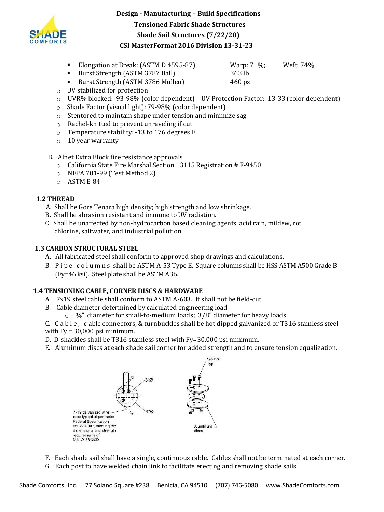

- Elongation at Break: (ASTM D 4595-87) Warp: 71%; Weft: 74%
- Burst Strength (ASTM 3787 Ball) 363 lb

■ Burst Strength (ASTM 3786 Mullen) 460 psi

- o UV stabilized for protection
- o UVR% blocked: 93-98% (color dependent) UV Protection Factor: 13-33 (color dependent)
- o Shade Factor (visual light): 79-98% (color dependent)
- o Stentored to maintain shape under tension and minimize sag
- o Rachel-knitted to prevent unraveling if cut
- o Temperature stability: -13 to 176 degrees F
- o 10 year warranty
- B. Alnet Extra Block fire resistance approvals
	- o California State Fire Marshal Section 13115 Registration # F-94501
	- o NFPA 701-99 (Test Method 2)
	- o ASTM E-84

# **1.2 THREAD**

- A. Shall be Gore Tenara high density; high strength and low shrinkage.
- B. Shall be abrasion resistant and immune to UV radiation.
- C. Shall be unaffected by non-hydrocarbon based cleaning agents, acid rain, mildew, rot, chlorine, saltwater, and industrial pollution.

# **1.3 CARBON STRUCTURAL STEEL**

- A. All fabricated steel shall conform to approved shop drawings and calculations.
- B. Pipe columns shall be ASTM A-53 Type E. Square columns shall be HSS ASTM A500 Grade B (Fy=46 ksi). Steel plate shall be ASTM A36.

# **1.4 TENSIONING CABLE, CORNER DISCS & HARDWARE**

- A. 7x19 steel cable shall conform to ASTM A-603. It shall not be field-cut.
- B. Cable diameter determined by calculated engineering load
	- $\circ$   $\frac{1}{4}$ " diameter for small-to-medium loads; 3/8" diameter for heavy loads
- C. C a b l e , c able connectors, & turnbuckles shall be hot dipped galvanized or T316 stainless steel with Fy = 30,000 psi minimum.
- D. D-shackles shall be T316 stainless steel with Fy=30,000 psi minimum.
- E. Aluminum discs at each shade sail corner for added strength and to ensure tension equalization.



F. Each shade sail shall have a single, continuous cable. Cables shall not be terminated at each corner. G. Each post to have welded chain link to facilitate erecting and removing shade sails.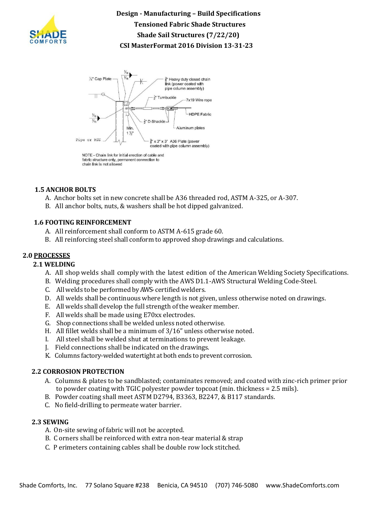



#### fabric structure only, permanent connection to chain link is not allowed

#### **1.5 ANCHOR BOLTS**

- A. Anchor bolts set in new concrete shall be A36 threaded rod, ASTM A-325, or A-307.
- B. All anchor bolts, nuts, & washers shall be hot dipped galvanized.

#### **1.6 FOOTING REINFORCEMENT**

- A. All reinforcement shall conform to ASTM A-615 grade 60.
- B. All reinforcing steel shall conform to approved shop drawings and calculations.

#### **2.0 PROCESSES**

#### **2.1 WELDING**

- A. All shop welds shall comply with the latest edition of the American Welding Society Specifications.
- B. Welding procedures shall comply with the AWS D1.1-AWS Structural Welding Code-Steel.
- C. All welds to be performed byAWS-certifiedwelders.
- D. All welds shall be continuouswhere length is not given, unless otherwise noted on drawings.
- E. All welds shall develop the full strength of the weaker member.
- F. All welds shall be made using E70xx electrodes.
- G. Shop connections shall be welded unless noted otherwise.
- H. All fillet welds shall be a minimum of 3/16" unless otherwise noted.
- I. All steel shall be welded shut at terminations to prevent leakage.
- J. Field connections shall be indicated on the drawings.
- K. Columns factory-welded watertight at both ends to prevent corrosion.

#### **2.2 CORROSION PROTECTION**

- A. Columns & plates to be sandblasted; contaminates removed; and coated with zinc-rich primer prior to powder coating with TGIC polyester powder topcoat (min. thickness = 2.5 mils).
- B. Powder coating shall meet ASTM D2794, B3363, B2247, & B117 standards.
- C. No field-drilling to permeate water barrier.

#### **2.3 SEWING**

- A. On-site sewing of fabric will not be accepted.
- B. C orners shall be reinforced with extra non-tear material & strap
- C. P erimeters containing cables shall be double row lock stitched.